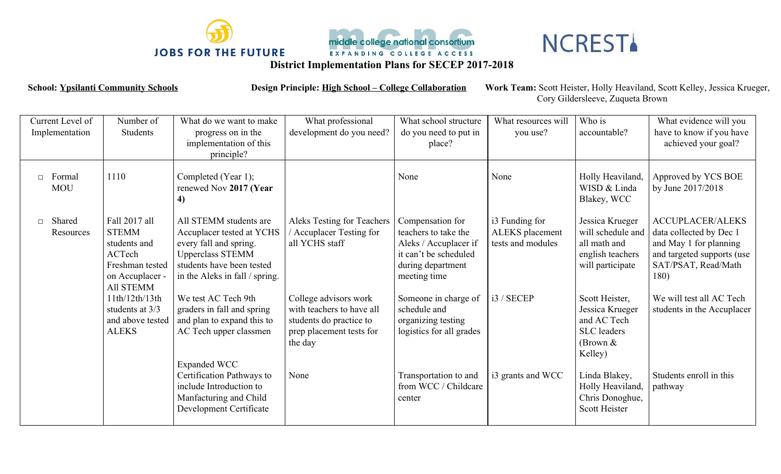



## **NCRESTA**

**District Implementation Plans for SECEP 2017-2018**

**School: Ypsilanti Community Schools Design Principle: High School – College Collaboration Work Team:** Scott Heister, Holly Heaviland, Scott Kelley, Jessica Krueger, Cory Gildersleeve, Zuqueta Brown

| Current Level of<br>Implementation | Number of<br>Students                                                                                                                                                               | What do we want to make<br>progress on in the<br>implementation of this<br>principle?                                                                                                                                                                                                | What professional<br>development do you need?                                                                                                                                                  | What school structure<br>do you need to put in<br>place?                                                                                                                                                                  | What resources will<br>you use?                                      | Who is<br>accountable?                                                                                                                                                                          | What evidence will you<br>have to know if you have<br>achieved your goal?                                                                                                                           |
|------------------------------------|-------------------------------------------------------------------------------------------------------------------------------------------------------------------------------------|--------------------------------------------------------------------------------------------------------------------------------------------------------------------------------------------------------------------------------------------------------------------------------------|------------------------------------------------------------------------------------------------------------------------------------------------------------------------------------------------|---------------------------------------------------------------------------------------------------------------------------------------------------------------------------------------------------------------------------|----------------------------------------------------------------------|-------------------------------------------------------------------------------------------------------------------------------------------------------------------------------------------------|-----------------------------------------------------------------------------------------------------------------------------------------------------------------------------------------------------|
| $\Box$ Formal<br><b>MOU</b>        | 1110                                                                                                                                                                                | Completed (Year 1);<br>renewed Nov 2017 (Year<br>4)                                                                                                                                                                                                                                  |                                                                                                                                                                                                | None                                                                                                                                                                                                                      | None                                                                 | Holly Heaviland,<br>WISD & Linda<br>Blakey, WCC                                                                                                                                                 | Approved by YCS BOE<br>by June 2017/2018                                                                                                                                                            |
| Shared<br>$\Box$<br>Resources      | Fall 2017 all<br><b>STEMM</b><br>students and<br>ACTech<br>Freshman tested<br>on Accuplacer -<br>All STEMM<br>11th/12th/13th<br>students at 3/3<br>and above tested<br><b>ALEKS</b> | All STEMM students are<br>Accuplacer tested at YCHS<br>every fall and spring.<br><b>Upperclass STEMM</b><br>students have been tested<br>in the Aleks in fall / spring.<br>We test AC Tech 9th<br>graders in fall and spring<br>and plan to expand this to<br>AC Tech upper classmen | Aleks Testing for Teachers<br>Accuplacer Testing for<br>all YCHS staff<br>College advisors work<br>with teachers to have all<br>students do practice to<br>prep placement tests for<br>the day | Compensation for<br>teachers to take the<br>Aleks / Accuplacer if<br>it can't be scheduled<br>during department<br>meeting time<br>Someone in charge of<br>schedule and<br>organizing testing<br>logistics for all grades | i3 Funding for<br>ALEKS placement<br>tests and modules<br>i3 / SECEP | Jessica Krueger<br>will schedule and<br>all math and<br>english teachers<br>will participate<br>Scott Heister,<br>Jessica Krueger<br>and AC Tech<br><b>SLC</b> leaders<br>(Brown $&$<br>Kelley) | <b>ACCUPLACER/ALEKS</b><br>data collected by Dec 1<br>and May 1 for planning<br>and targeted supports (use<br>SAT/PSAT, Read/Math<br>180)<br>We will test all AC Tech<br>students in the Accuplacer |
|                                    |                                                                                                                                                                                     | <b>Expanded WCC</b><br>Certification Pathways to<br>include Introduction to<br>Manfacturing and Child<br>Development Certificate                                                                                                                                                     | None                                                                                                                                                                                           | Transportation to and<br>from WCC / Childcare<br>center                                                                                                                                                                   | i3 grants and WCC                                                    | Linda Blakey,<br>Holly Heaviland,<br>Chris Donoghue,<br>Scott Heister                                                                                                                           | Students enroll in this<br>pathway                                                                                                                                                                  |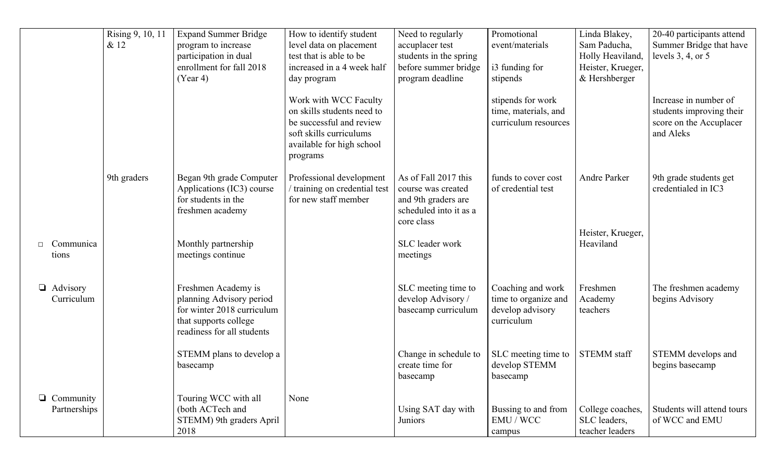|                                  | Rising 9, 10, 11<br>& 12 | <b>Expand Summer Bridge</b><br>program to increase<br>participation in dual<br>enrollment for fall 2018<br>(Year 4)                  | How to identify student<br>level data on placement<br>test that is able to be<br>increased in a 4 week half<br>day program                          | Need to regularly<br>accuplacer test<br>students in the spring<br>before summer bridge<br>program deadline | Promotional<br>event/materials<br>i3 funding for<br>stipends                | Linda Blakey,<br>Sam Paducha,<br>Holly Heaviland,<br>Heister, Krueger,<br>& Hershberger | 20-40 participants attend<br>Summer Bridge that have<br>levels $3, 4$ , or $5$            |
|----------------------------------|--------------------------|--------------------------------------------------------------------------------------------------------------------------------------|-----------------------------------------------------------------------------------------------------------------------------------------------------|------------------------------------------------------------------------------------------------------------|-----------------------------------------------------------------------------|-----------------------------------------------------------------------------------------|-------------------------------------------------------------------------------------------|
|                                  |                          |                                                                                                                                      | Work with WCC Faculty<br>on skills students need to<br>be successful and review<br>soft skills curriculums<br>available for high school<br>programs |                                                                                                            | stipends for work<br>time, materials, and<br>curriculum resources           |                                                                                         | Increase in number of<br>students improving their<br>score on the Accuplacer<br>and Aleks |
|                                  | 9th graders              | Began 9th grade Computer<br>Applications (IC3) course<br>for students in the<br>freshmen academy                                     | Professional development<br>/ training on credential test<br>for new staff member                                                                   | As of Fall 2017 this<br>course was created<br>and 9th graders are<br>scheduled into it as a<br>core class  | funds to cover cost<br>of credential test                                   | Andre Parker                                                                            | 9th grade students get<br>credentialed in IC3                                             |
| Communica<br>tions               |                          | Monthly partnership<br>meetings continue                                                                                             |                                                                                                                                                     | SLC leader work<br>meetings                                                                                |                                                                             | Heister, Krueger,<br>Heaviland                                                          |                                                                                           |
| $\Box$ Advisory<br>Curriculum    |                          | Freshmen Academy is<br>planning Advisory period<br>for winter 2018 curriculum<br>that supports college<br>readiness for all students |                                                                                                                                                     | SLC meeting time to<br>develop Advisory /<br>basecamp curriculum                                           | Coaching and work<br>time to organize and<br>develop advisory<br>curriculum | Freshmen<br>Academy<br>teachers                                                         | The freshmen academy<br>begins Advisory                                                   |
|                                  |                          | STEMM plans to develop a<br>basecamp                                                                                                 |                                                                                                                                                     | Change in schedule to<br>create time for<br>basecamp                                                       | SLC meeting time to<br>develop STEMM<br>basecamp                            | <b>STEMM</b> staff                                                                      | STEMM develops and<br>begins basecamp                                                     |
| $\Box$ Community<br>Partnerships |                          | Touring WCC with all<br>(both ACTech and<br>STEMM) 9th graders April<br>2018                                                         | None                                                                                                                                                | Using SAT day with<br>Juniors                                                                              | Bussing to and from<br>EMU / WCC<br>campus                                  | College coaches,<br>SLC leaders,<br>teacher leaders                                     | Students will attend tours<br>of WCC and EMU                                              |